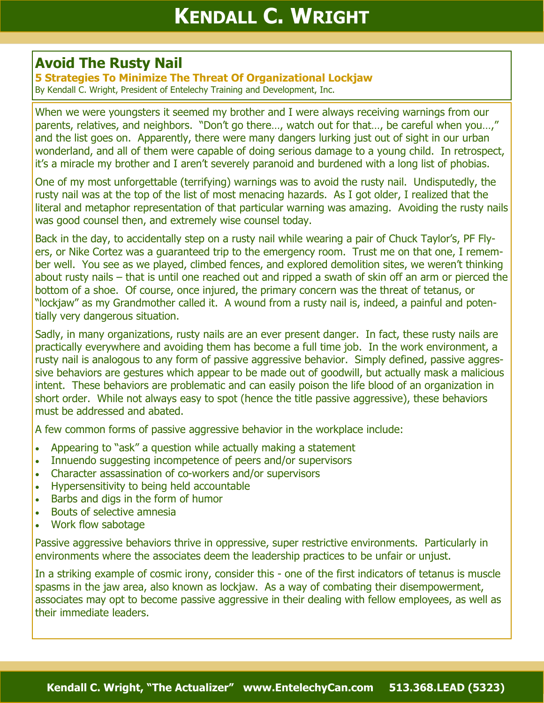## **Avoid The Rusty Nail**

**5 Strategies To Minimize The Threat Of Organizational Lockjaw** By Kendall C. Wright, President of Entelechy Training and Development, Inc.

When we were youngsters it seemed my brother and I were always receiving warnings from our parents, relatives, and neighbors. "Don't go there..., watch out for that..., be careful when you...," and the list goes on. Apparently, there were many dangers lurking just out of sight in our urban wonderland, and all of them were capable of doing serious damage to a young child. In retrospect, it's a miracle my brother and I aren't severely paranoid and burdened with a long list of phobias.

One of my most unforgettable (terrifying) warnings was to avoid the rusty nail. Undisputedly, the rusty nail was at the top of the list of most menacing hazards. As I got older, I realized that the literal and metaphor representation of that particular warning was amazing. Avoiding the rusty nails was good counsel then, and extremely wise counsel today.

Back in the day, to accidentally step on a rusty nail while wearing a pair of Chuck Taylor's, PF Flyers, or Nike Cortez was a guaranteed trip to the emergency room. Trust me on that one, I remember well. You see as we played, climbed fences, and explored demolition sites, we weren't thinking about rusty nails – that is until one reached out and ripped a swath of skin off an arm or pierced the bottom of a shoe. Of course, once injured, the primary concern was the threat of tetanus, or "lockjaw" as my Grandmother called it. A wound from a rusty nail is, indeed, a painful and potentially very dangerous situation.

Sadly, in many organizations, rusty nails are an ever present danger. In fact, these rusty nails are practically everywhere and avoiding them has become a full time job. In the work environment, a rusty nail is analogous to any form of passive aggressive behavior. Simply defined, passive aggressive behaviors are gestures which appear to be made out of goodwill, but actually mask a malicious intent. These behaviors are problematic and can easily poison the life blood of an organization in short order. While not always easy to spot (hence the title passive aggressive), these behaviors must be addressed and abated.

A few common forms of passive aggressive behavior in the workplace include:

- Appearing to "ask" a question while actually making a statement
- Innuendo suggesting incompetence of peers and/or supervisors
- Character assassination of co-workers and/or supervisors
- Hypersensitivity to being held accountable
- Barbs and digs in the form of humor
- Bouts of selective amnesia
- Work flow sabotage

Passive aggressive behaviors thrive in oppressive, super restrictive environments. Particularly in environments where the associates deem the leadership practices to be unfair or unjust.

In a striking example of cosmic irony, consider this - one of the first indicators of tetanus is muscle spasms in the jaw area, also known as lockjaw. As a way of combating their disempowerment, associates may opt to become passive aggressive in their dealing with fellow employees, as well as their immediate leaders.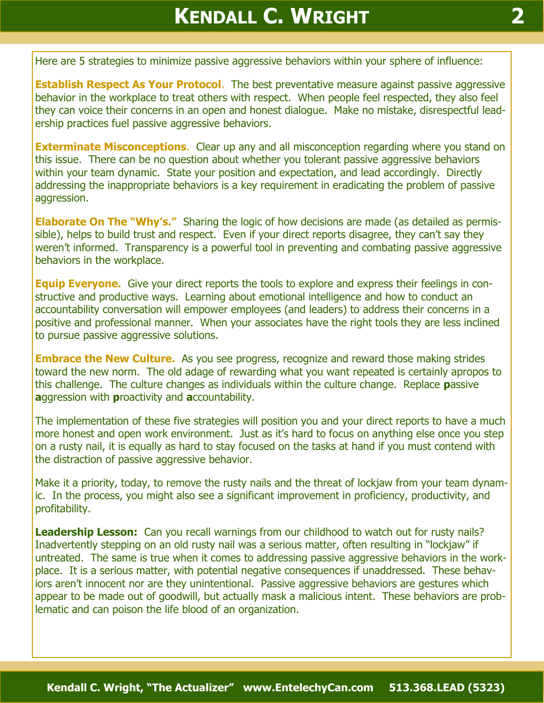Here are 5 strategies to minimize passive aggressive behaviors within your sphere of influence:

**Establish Respect As Your Protocol.** The best preventative measure against passive aggressive behavior in the workplace to treat others with respect. When people feel respected, they also feel they can voice their concerns in an open and honest dialogue. Make no mistake, disrespectful leadership practices fuel passive aggressive behaviors.

**Exterminate Misconceptions.** Clear up any and all misconception regarding where you stand on this issue. There can be no question about whether you tolerant passive aggressive behaviors within your team dynamic. State your position and expectation, and lead accordingly. Directly addressing the inappropriate behaviors is a key requirement in eradicating the problem of passive aggression.

**Elaborate On The "Why's."** Sharing the logic of how decisions are made (as detailed as permissible), helps to build trust and respect. Even if your direct reports disagree, they can't say they weren't informed. Transparency is a powerful tool in preventing and combating passive aggressive behaviors in the workplace.

**Equip Everyone.** Give your direct reports the tools to explore and express their feelings in constructive and productive ways. Learning about emotional intelligence and how to conduct an accountability conversation will empower employees (and leaders) to address their concerns in a positive and professional manner. When your associates have the right tools they are less inclined to pursue passive aggressive solutions.

**Embrace the New Culture.** As you see progress, recognize and reward those making strides toward the new norm. The old adage of rewarding what you want repeated is certainly apropos to this challenge. The culture changes as individuals within the culture change. Replace **p**assive **a**ggression with **p**roactivity and **a**ccountability.

The implementation of these five strategies will position you and your direct reports to have a much more honest and open work environment. Just as it's hard to focus on anything else once you step on a rusty nail, it is equally as hard to stay focused on the tasks at hand if you must contend with the distraction of passive aggressive behavior.

Make it a priority, today, to remove the rusty nails and the threat of lockjaw from your team dynamic. In the process, you might also see a significant improvement in proficiency, productivity, and profitability.

**Leadership Lesson:** Can you recall warnings from our childhood to watch out for rusty nails? Inadvertently stepping on an old rusty nail was a serious matter, often resulting in "lockjaw" if untreated. The same is true when it comes to addressing passive aggressive behaviors in the workplace. It is a serious matter, with potential negative consequences if unaddressed. These behaviors aren't innocent nor are they unintentional. Passive aggressive behaviors are gestures which appear to be made out of goodwill, but actually mask a malicious intent. These behaviors are problematic and can poison the life blood of an organization.